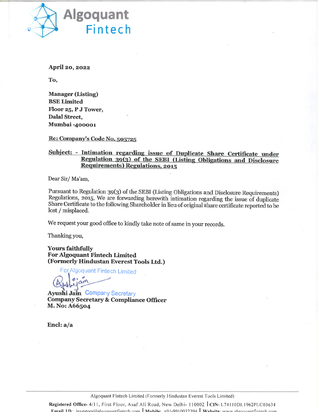

April 20, 2022

To,

**Manager (Listing) BSE Limited** Floor 25, P J Tower, **Dalal Street,** Mumbai -400001

Re: Company's Code No. 505725

## Subject: - Intimation regarding issue of Duplicate Share Certificate under Regulation 39(3) of the SEBI (Listing Obligations and Disclosure **Requirements) Regulations, 2015**

Dear Sir/Ma'am,

Pursuant to Regulation 39(3) of the SEBI (Listing Obligations and Disclosure Requirements) Regulations, 2015, We are forwarding herewith intimation regarding the issue of duplicate Share Certificate to the following Shareholder in lieu of original share certificate reported to be lost / misplaced.

We request your good office to kindly take note of same in your records.

Thanking you,

**Yours faithfully For Algoquant Fintech Limited** (Formerly Hindustan Everest Tools Ltd.)

For Algoquant Fintech Limited

**Ayushi Jain Company Secretary Company Secretary & Compliance Officer** M. No: A66504

Encl:  $a/a$ 

Algoquant Fintech Limited (Formerly Hindustan Everest Tools Limited)

Registered Office-4/11, First Floor, Asaf Ali Road, New Delhi-110002 CIN-L74110DL1962PLC03634 **Email ID**: investors@algoguantfintech.com Mobile: +91-9910032394 Website: www.algoguantfintech.com